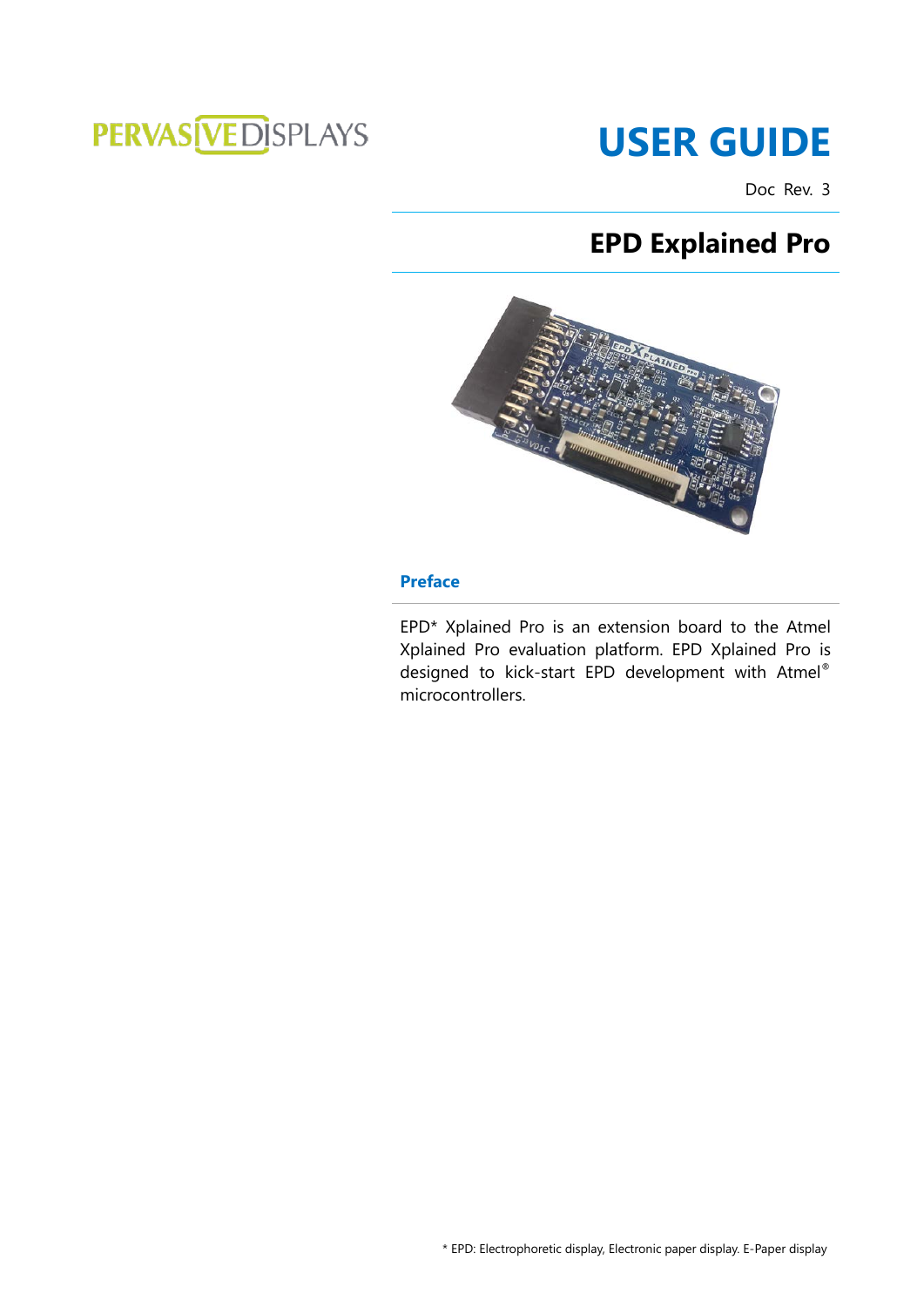# PERVAS VED SPLAYS

# **USER GUIDE**

Doc Rev. 3

# **EPD Explained Pro**



### <span id="page-0-0"></span>**Preface**

EPD\* Xplained Pro is an extension board to the Atmel Xplained Pro evaluation platform. EPD Xplained Pro is designed to kick-start EPD development with Atmel ® microcontrollers.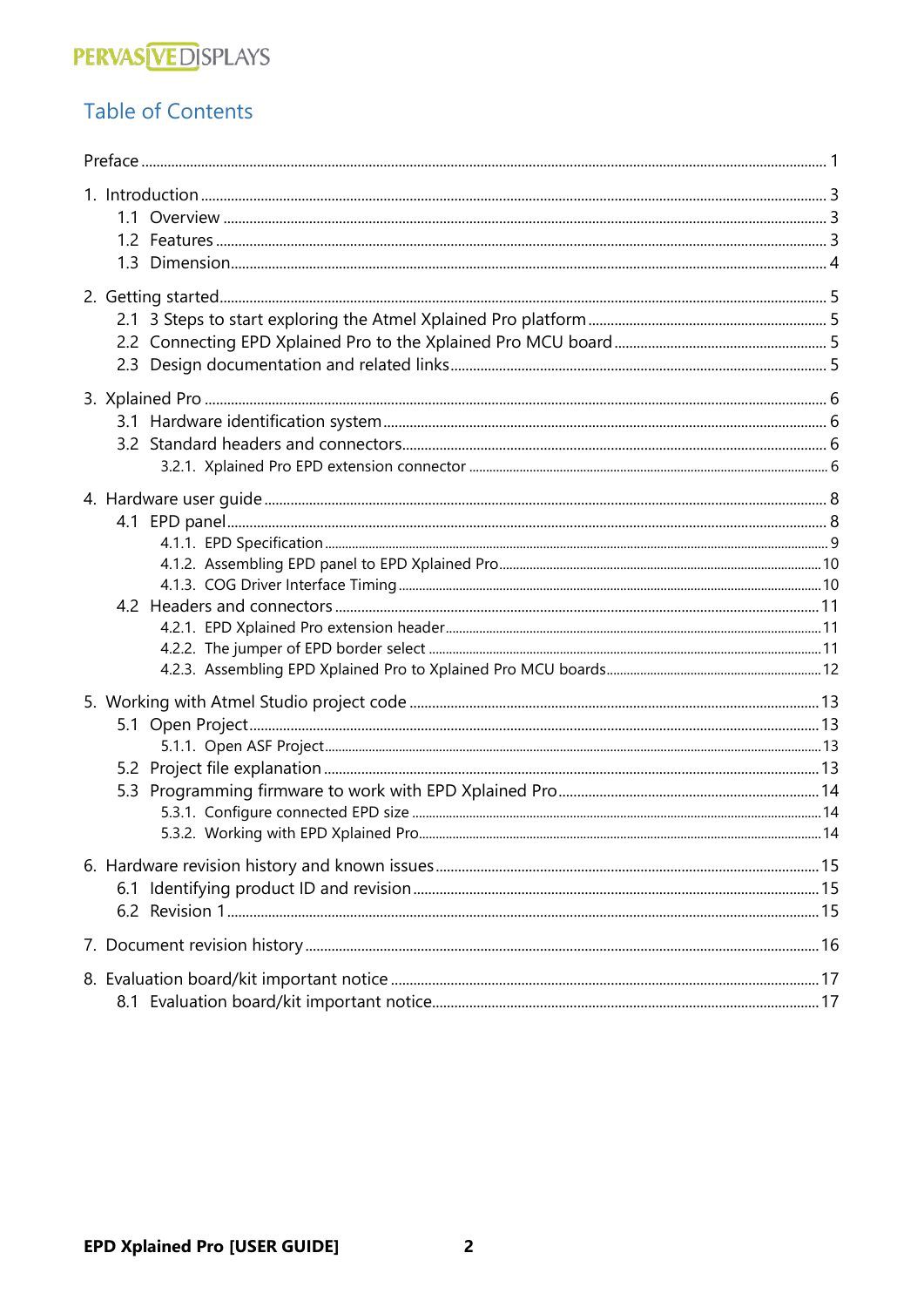# **PERVAS VEDISPLAYS**

## **Table of Contents**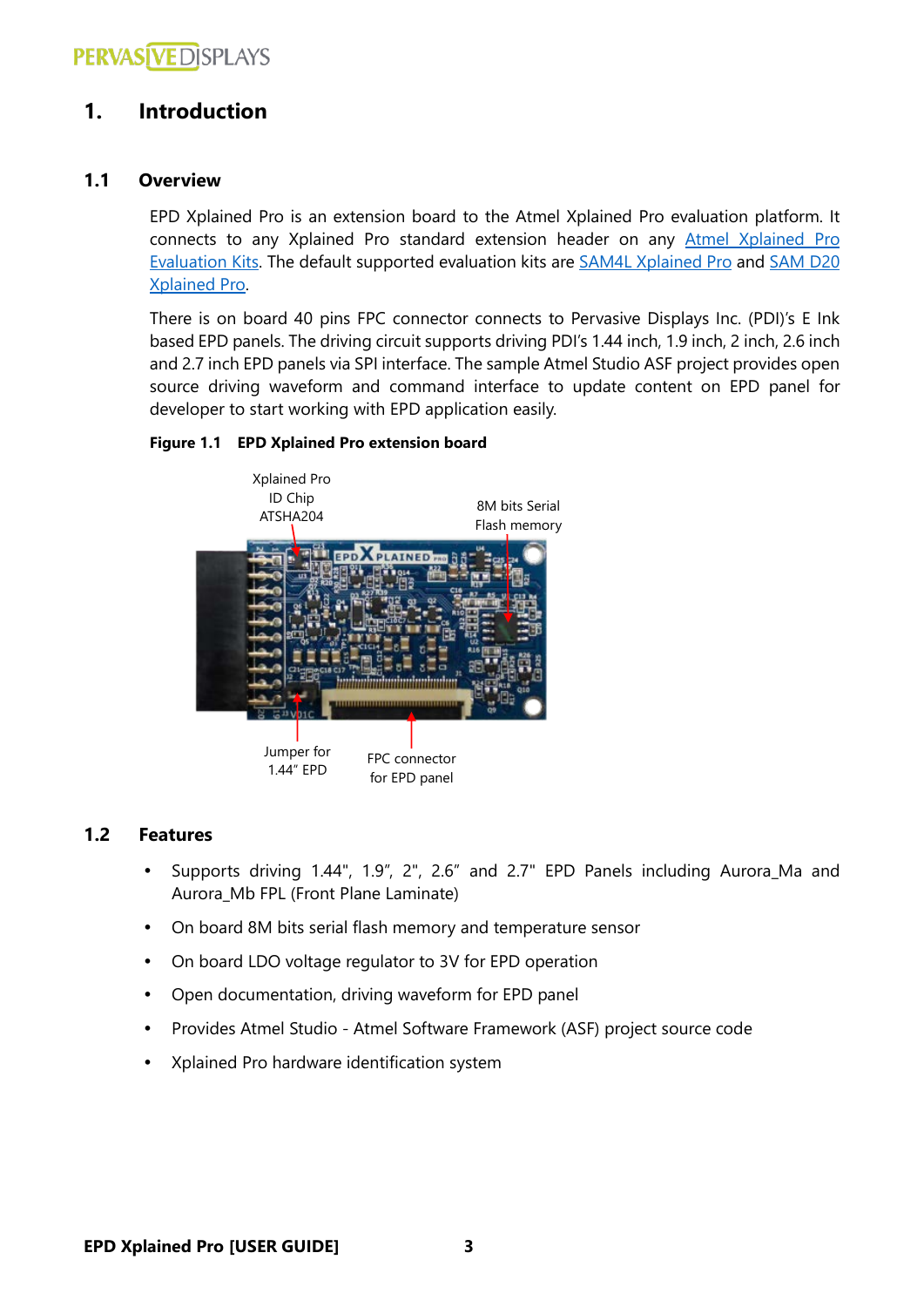### <span id="page-2-0"></span>**1. Introduction**

### <span id="page-2-1"></span>**1.1 Overview**

EPD Xplained Pro is an extension board to the Atmel Xplained Pro evaluation platform. It connects to any Xplained Pro standard extension header on any [Atmel Xplained Pro](http://www.atmel.com/products/microcontrollers/avr/xplainedpro.aspx)  [Evaluation Kits.](http://www.atmel.com/products/microcontrollers/avr/xplainedpro.aspx) The default supported evaluation kits are [SAM4L Xplained Pro](http://www.atmel.com/tools/ATSAM4L-XPRO.aspx) and [SAM D20](http://www.atmel.com/tools/ATSAMD20-XPRO.aspx)  [Xplained Pro.](http://www.atmel.com/tools/ATSAMD20-XPRO.aspx)

There is on board 40 pins FPC connector connects to Pervasive Displays Inc. (PDI)'s E Ink based EPD panels. The driving circuit supports driving PDI's 1.44 inch, 1.9 inch, 2 inch, 2.6 inch and 2.7 inch EPD panels via SPI interface. The sample Atmel Studio ASF project provides open source driving waveform and command interface to update content on EPD panel for developer to start working with EPD application easily.

### **Figure 1.1 EPD Xplained Pro extension board**



### <span id="page-2-2"></span>**1.2 Features**

- Supports driving 1.44", 1.9", 2", 2.6" and 2.7" EPD Panels including Aurora\_Ma and Aurora\_Mb FPL (Front Plane Laminate)
- On board 8M bits serial flash memory and temperature sensor
- On board LDO voltage regulator to 3V for EPD operation
- Open documentation, driving waveform for EPD panel
- Provides Atmel Studio Atmel Software Framework (ASF) project source code
- Xplained Pro hardware identification system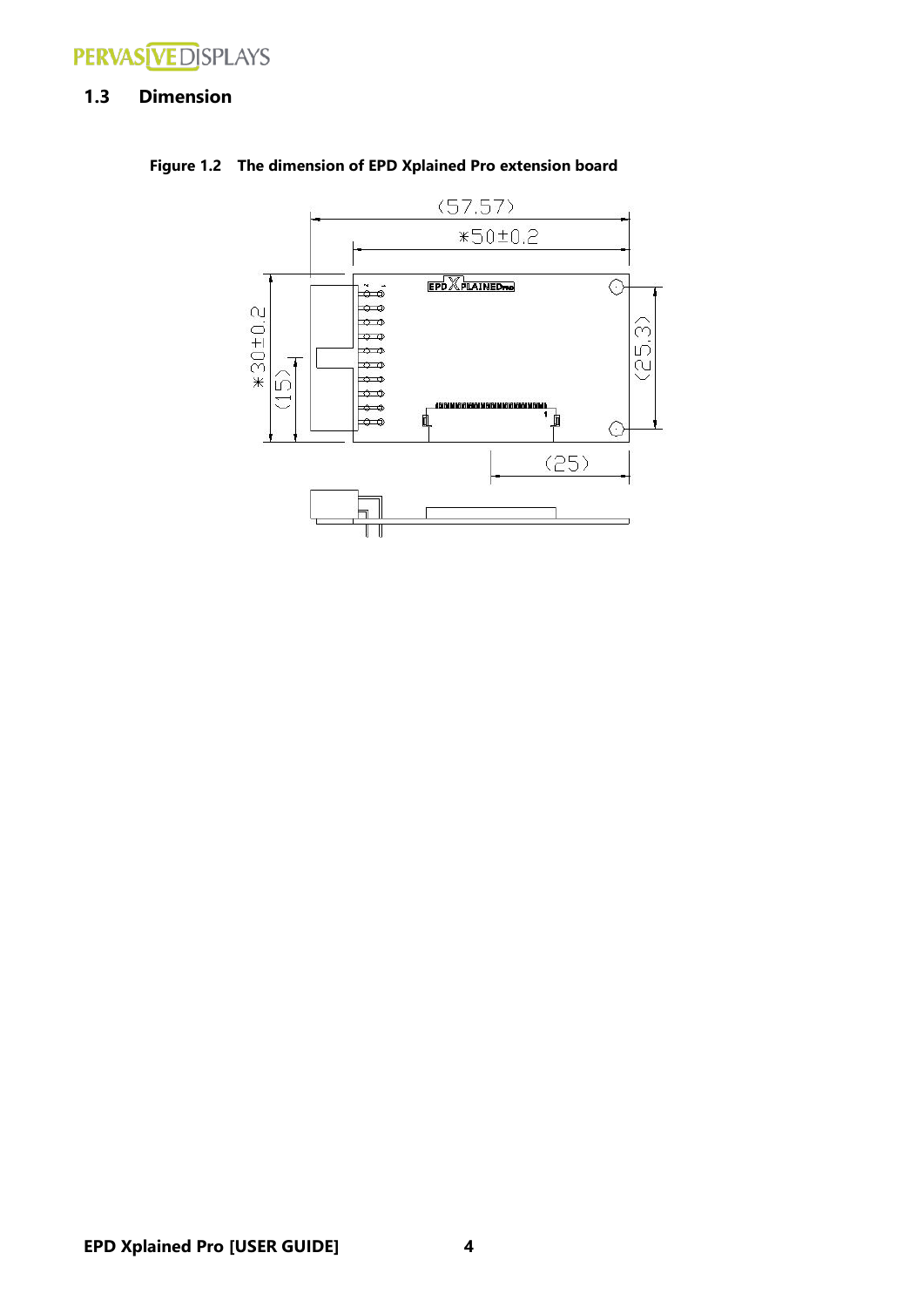

### <span id="page-3-0"></span>**1.3 Dimension**



**Figure 1.2 The dimension of EPD Xplained Pro extension board**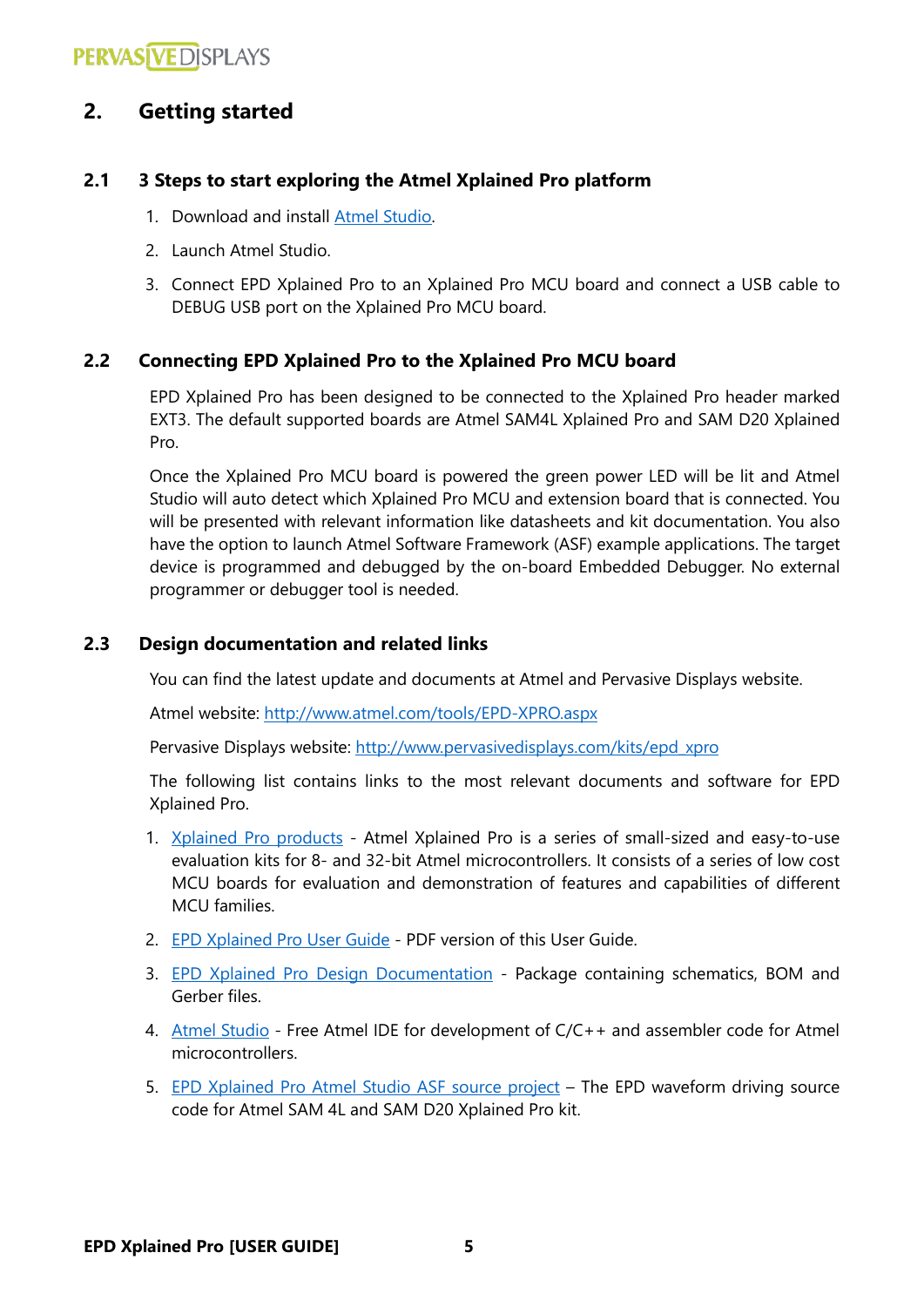### <span id="page-4-0"></span>**2. Getting started**

### <span id="page-4-1"></span>**2.1 3 Steps to start exploring the Atmel Xplained Pro platform**

- 1. Download and install [Atmel Studio.](http://www.atmel.com/microsite/atmel_studio6/default.aspx)
- 2. Launch Atmel Studio.
- 3. Connect EPD Xplained Pro to an Xplained Pro MCU board and connect a USB cable to DEBUG USB port on the Xplained Pro MCU board.

### <span id="page-4-2"></span>**2.2 Connecting EPD Xplained Pro to the Xplained Pro MCU board**

EPD Xplained Pro has been designed to be connected to the Xplained Pro header marked EXT3. The default supported boards are Atmel SAM4L Xplained Pro and SAM D20 Xplained Pro.

Once the Xplained Pro MCU board is powered the green power LED will be lit and Atmel Studio will auto detect which Xplained Pro MCU and extension board that is connected. You will be presented with relevant information like datasheets and kit documentation. You also have the option to launch Atmel Software Framework (ASF) example applications. The target device is programmed and debugged by the on-board Embedded Debugger. No external programmer or debugger tool is needed.

### <span id="page-4-3"></span>**2.3 Design documentation and related links**

You can find the latest update and documents at Atmel and Pervasive Displays website.

Atmel website:<http://www.atmel.com/tools/EPD-XPRO.aspx>

Pervasive Displays website: [http://www.pervasivedisplays.com/kits/epd\\_xpro](http://www.pervasivedisplays.com/kits/epd_xpro)

The following list contains links to the most relevant documents and software for EPD Xplained Pro.

- 1. [Xplained Pro products](http://www.atmel.com/products/microcontrollers/avr/xplainedpro.aspx) Atmel Xplained Pro is a series of small-sized and easy-to-use evaluation kits for 8- and 32-bit Atmel microcontrollers. It consists of a series of low cost MCU boards for evaluation and demonstration of features and capabilities of different MCU families.
- 2. EPD [Xplained Pro User Guide](http://www.pervasivedisplays.com/LiteratureRetrieve.aspx?ID=223488) PDF version of this User Guide.
- 3. EPD [Xplained Pro Design Documentation](http://www.pervasivedisplays.com/LiteratureRetrieve.aspx?ID=196490) Package containing schematics, BOM and Gerber files.
- 4. [Atmel Studio](http://www.atmel.com/microsite/atmel_studio6/default.aspx) Free Atmel IDE for development of C/C++ and assembler code for Atmel microcontrollers.
- <span id="page-4-4"></span>5. [EPD Xplained Pro Atmel Studio ASF source project](http://www.pervasivedisplays.com/LiteratureRetrieve.aspx?ID=223487) – The EPD waveform driving source code for Atmel SAM 4L and SAM D20 Xplained Pro kit.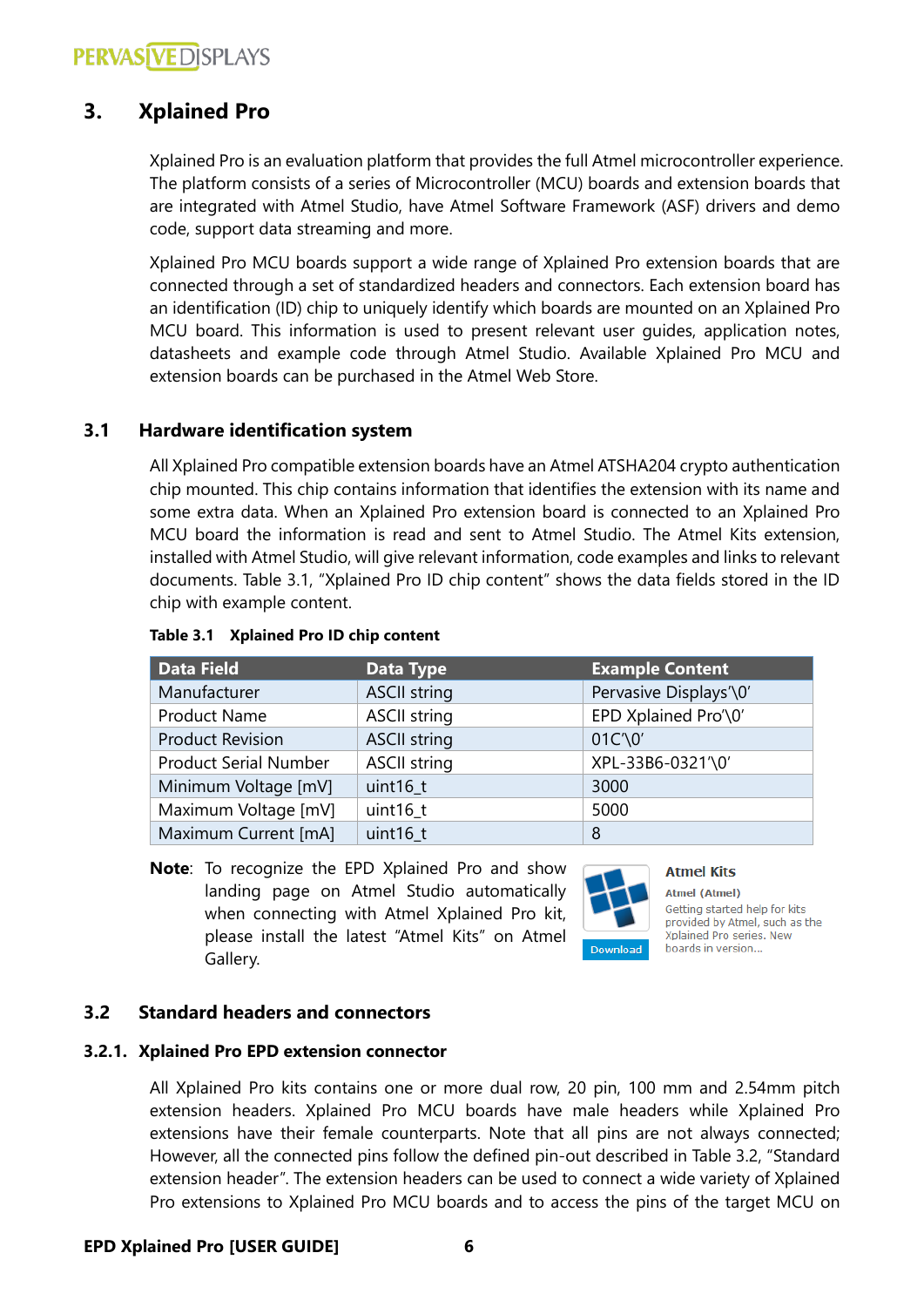### <span id="page-5-0"></span>**3. Xplained Pro**

Xplained Pro is an evaluation platform that provides the full Atmel microcontroller experience. The platform consists of a series of Microcontroller (MCU) boards and extension boards that are integrated with Atmel Studio, have Atmel Software Framework (ASF) drivers and demo code, support data streaming and more.

Xplained Pro MCU boards support a wide range of Xplained Pro extension boards that are connected through a set of standardized headers and connectors. Each extension board has an identification (ID) chip to uniquely identify which boards are mounted on an Xplained Pro MCU board. This information is used to present relevant user guides, application notes, datasheets and example code through Atmel Studio. Available Xplained Pro MCU and extension boards can be purchased in the Atmel Web Store.

### <span id="page-5-1"></span>**3.1 Hardware identification system**

All Xplained Pro compatible extension boards have an Atmel ATSHA204 crypto authentication chip mounted. This chip contains information that identifies the extension with its name and some extra data. When an Xplained Pro extension board is connected to an Xplained Pro MCU board the information is read and sent to Atmel Studio. The Atmel Kits extension, installed with Atmel Studio, will give relevant information, code examples and links to relevant documents. Table 3.1, "Xplained Pro ID chip content" shows the data fields stored in the ID chip with example content.

| <b>Data Field</b>            | Data Type                                   | <b>Example Content</b> |
|------------------------------|---------------------------------------------|------------------------|
| Manufacturer                 | <b>ASCII string</b>                         | Pervasive Displays'\0' |
| <b>Product Name</b>          | EPD Xplained Pro'\0'<br><b>ASCII string</b> |                        |
| <b>Product Revision</b>      | <b>ASCII string</b>                         | $01C' \ 0'$            |
| <b>Product Serial Number</b> | <b>ASCII string</b>                         | XPL-33B6-0321'\0'      |
| Minimum Voltage [mV]         | uint16 t                                    | 3000                   |
| Maximum Voltage [mV]         | uint $16_t$                                 | 5000                   |
| Maximum Current [mA]         | uint16 t                                    | 8                      |

#### **Table 3.1 Xplained Pro ID chip content**

**Note**: To recognize the EPD Xplained Pro and show landing page on Atmel Studio automatically when connecting with Atmel Xplained Pro kit, please install the latest "Atmel Kits" on Atmel Gallery.



**Atmel Kits Atmel (Atmel)** Getting started help for kits provided by Atmel, such as the Xplained Pro series, New

boards in version...

### <span id="page-5-2"></span>**3.2 Standard headers and connectors**

#### <span id="page-5-3"></span>**3.2.1. Xplained Pro EPD extension connector**

All Xplained Pro kits contains one or more dual row, 20 pin, 100 mm and 2.54mm pitch extension headers. Xplained Pro MCU boards have male headers while Xplained Pro extensions have their female counterparts. Note that all pins are not always connected; However, all the connected pins follow the defined pin-out described in Table 3.2, "Standard extension header". The extension headers can be used to connect a wide variety of Xplained Pro extensions to Xplained Pro MCU boards and to access the pins of the target MCU on

#### **EPD Xplained Pro [USER GUIDE] 6**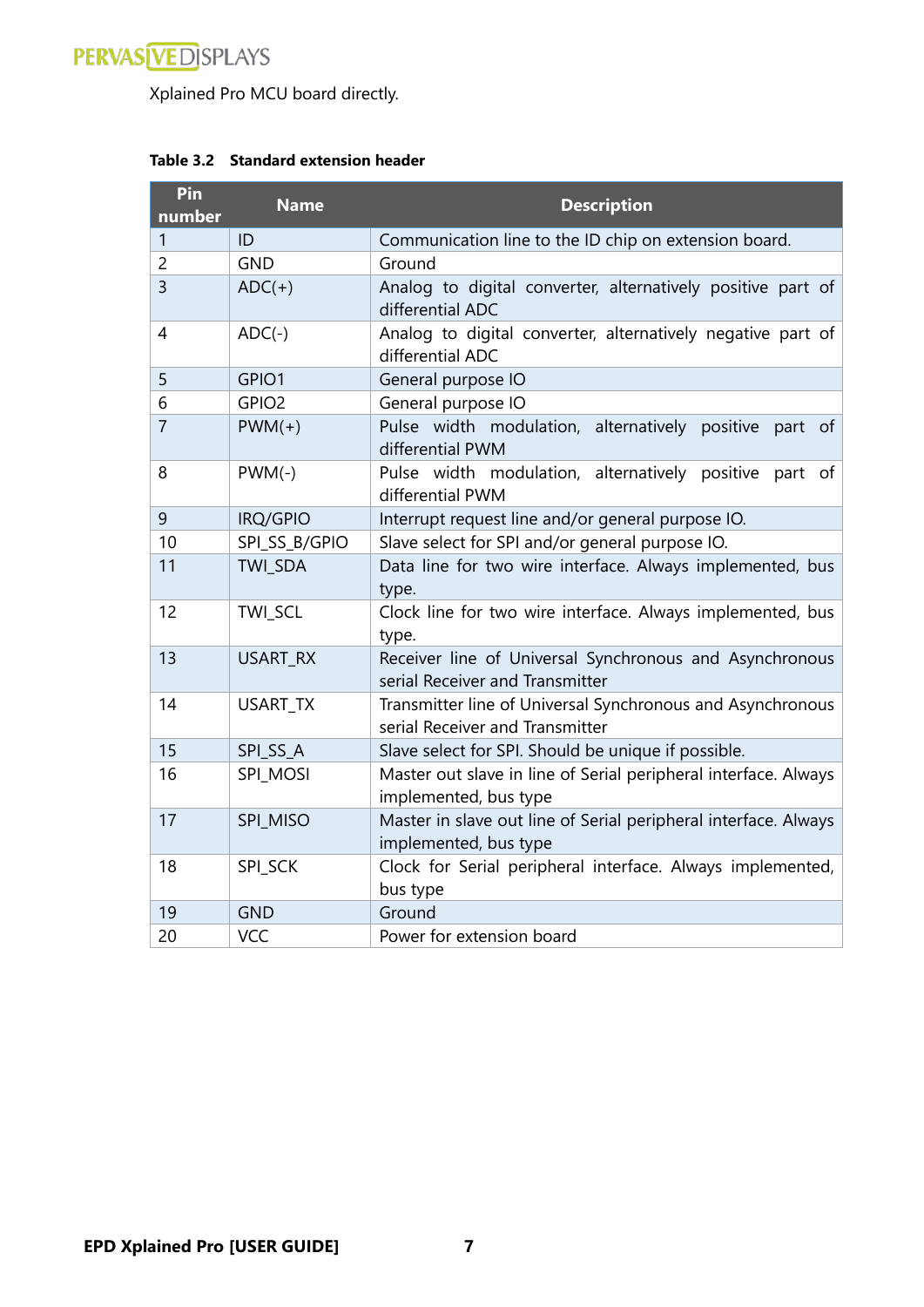

Xplained Pro MCU board directly.

| Pin<br>number  | <b>Name</b>       | <b>Description</b>                                                                            |  |
|----------------|-------------------|-----------------------------------------------------------------------------------------------|--|
| 1              | ID                | Communication line to the ID chip on extension board.                                         |  |
| $\overline{2}$ | <b>GND</b>        | Ground                                                                                        |  |
| $\overline{3}$ | $ADC(+)$          | Analog to digital converter, alternatively positive part of<br>differential ADC               |  |
| 4              | $ADC(-)$          | Analog to digital converter, alternatively negative part of<br>differential ADC               |  |
| 5              | GPIO1             | General purpose IO                                                                            |  |
| 6              | GPIO <sub>2</sub> | General purpose IO                                                                            |  |
| $\overline{7}$ | $PWM(+)$          | Pulse width modulation,<br>alternatively positive<br>part of<br>differential PWM              |  |
| 8              | $PWM(-)$          | Pulse width modulation, alternatively positive part of<br>differential PWM                    |  |
| 9              | IRQ/GPIO          | Interrupt request line and/or general purpose IO.                                             |  |
| 10             | SPI_SS_B/GPIO     | Slave select for SPI and/or general purpose IO.                                               |  |
| 11             | <b>TWI SDA</b>    | Data line for two wire interface. Always implemented, bus<br>type.                            |  |
| 12             | TWI_SCL           | Clock line for two wire interface. Always implemented, bus<br>type.                           |  |
| 13             | USART_RX          | Receiver line of Universal Synchronous and Asynchronous<br>serial Receiver and Transmitter    |  |
| 14             | USART_TX          | Transmitter line of Universal Synchronous and Asynchronous<br>serial Receiver and Transmitter |  |
| 15             | SPI_SS_A          | Slave select for SPI. Should be unique if possible.                                           |  |
| 16             | <b>SPI_MOSI</b>   | Master out slave in line of Serial peripheral interface. Always<br>implemented, bus type      |  |
| 17             | SPI_MISO          | Master in slave out line of Serial peripheral interface. Always<br>implemented, bus type      |  |
| 18             | SPI_SCK           | Clock for Serial peripheral interface. Always implemented,<br>bus type                        |  |
| 19             | <b>GND</b>        | Ground                                                                                        |  |
| 20             | <b>VCC</b>        | Power for extension board                                                                     |  |

### **Table 3.2 Standard extension header**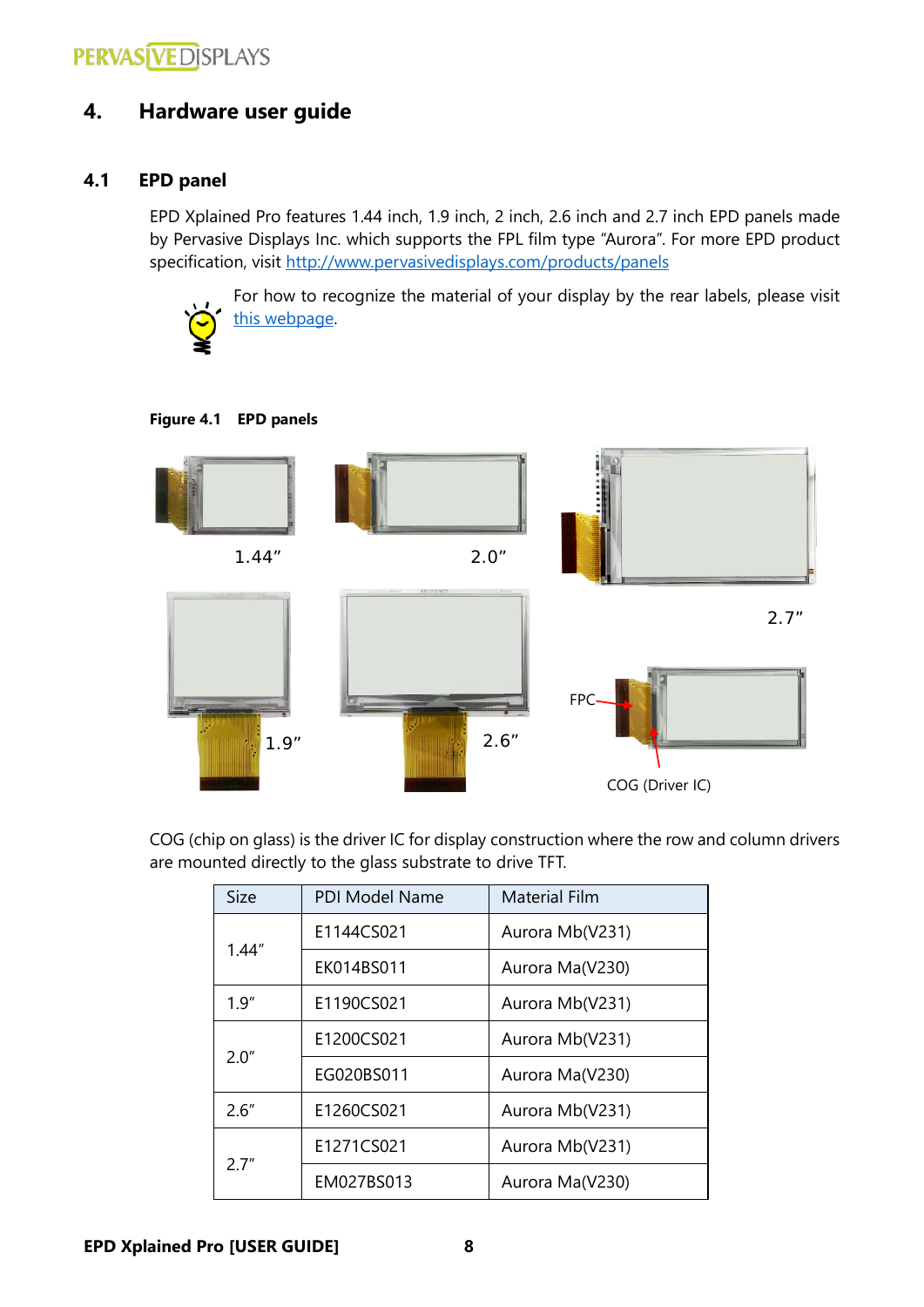### <span id="page-7-0"></span>**4. Hardware user guide**

### <span id="page-7-1"></span>**4.1 EPD panel**

EPD Xplained Pro features 1.44 inch, 1.9 inch, 2 inch, 2.6 inch and 2.7 inch EPD panels made by Pervasive Displays Inc. which supports the FPL film type "Aurora". For more EPD product specification, visit <http://www.pervasivedisplays.com/products/panels>



For how to recognize the material of your display by the rear labels, please visit [this webpage.](http://www.pervasivedisplays.com/products/label_info)

#### **Figure 4.1 EPD panels**



COG (chip on glass) is the driver IC for display construction where the row and column drivers are mounted directly to the glass substrate to drive TFT.

| <b>Size</b> | <b>PDI Model Name</b><br><b>Material Film</b> |                 |
|-------------|-----------------------------------------------|-----------------|
|             | E1144CS021                                    | Aurora Mb(V231) |
| 1.44''      | EK014BS011                                    | Aurora Ma(V230) |
| 1.9''       | E1190CS021                                    | Aurora Mb(V231) |
| 2.0"        | E1200CS021                                    | Aurora Mb(V231) |
|             | EG020BS011                                    | Aurora Ma(V230) |
| 2.6''       | E1260CS021                                    | Aurora Mb(V231) |
| 2 7"        | E1271CS021                                    | Aurora Mb(V231) |
|             | EM027BS013                                    | Aurora Ma(V230) |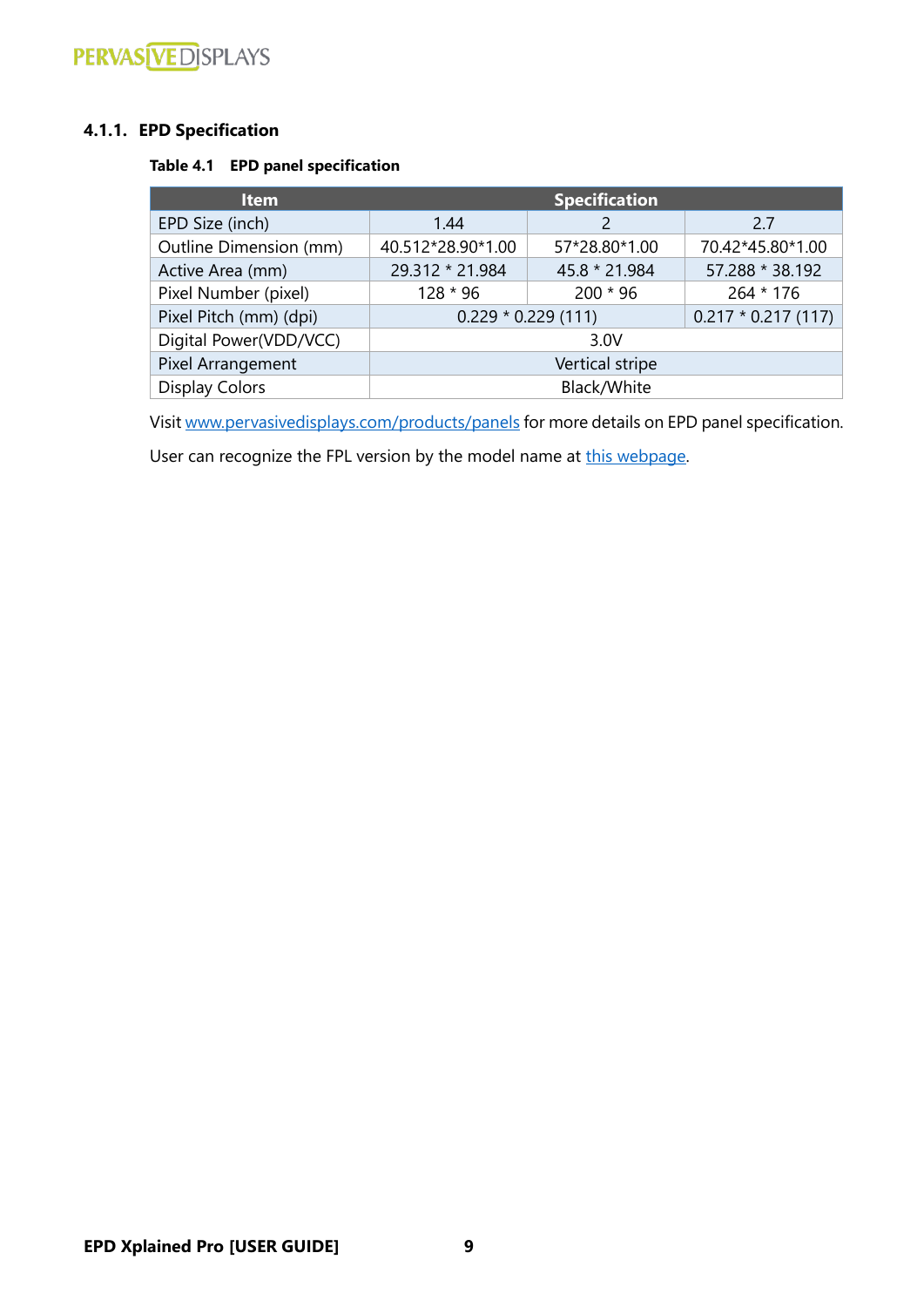# **PERVAS VEDISPLAYS**

### <span id="page-8-0"></span>**4.1.1. EPD Specification**

### **Table 4.1 EPD panel specification**

| <b>Item</b>            | <b>Specification</b> |               |                      |
|------------------------|----------------------|---------------|----------------------|
| EPD Size (inch)        | 1.44                 |               | 2.7                  |
| Outline Dimension (mm) | 40.512*28.90*1.00    | 57*28.80*1.00 | 70.42*45.80*1.00     |
| Active Area (mm)       | 29.312 * 21.984      | 45.8 * 21.984 | 57.288 * 38.192      |
| Pixel Number (pixel)   | $128 * 96$           | $200 * 96$    | $264 * 176$          |
| Pixel Pitch (mm) (dpi) | $0.229 * 0.229(111)$ |               | $0.217 * 0.217(117)$ |
| Digital Power(VDD/VCC) | 3.0V                 |               |                      |
| Pixel Arrangement      | Vertical stripe      |               |                      |
| <b>Display Colors</b>  | Black/White          |               |                      |

Visi[t www.pervasivedisplays.com/products/panels](http://www.pervasivedisplays.com/products/panels) for more details on EPD panel specification.

User can recognize the FPL version by the model name at [this webpage.](http://www.pervasivedisplays.com/products/label_info)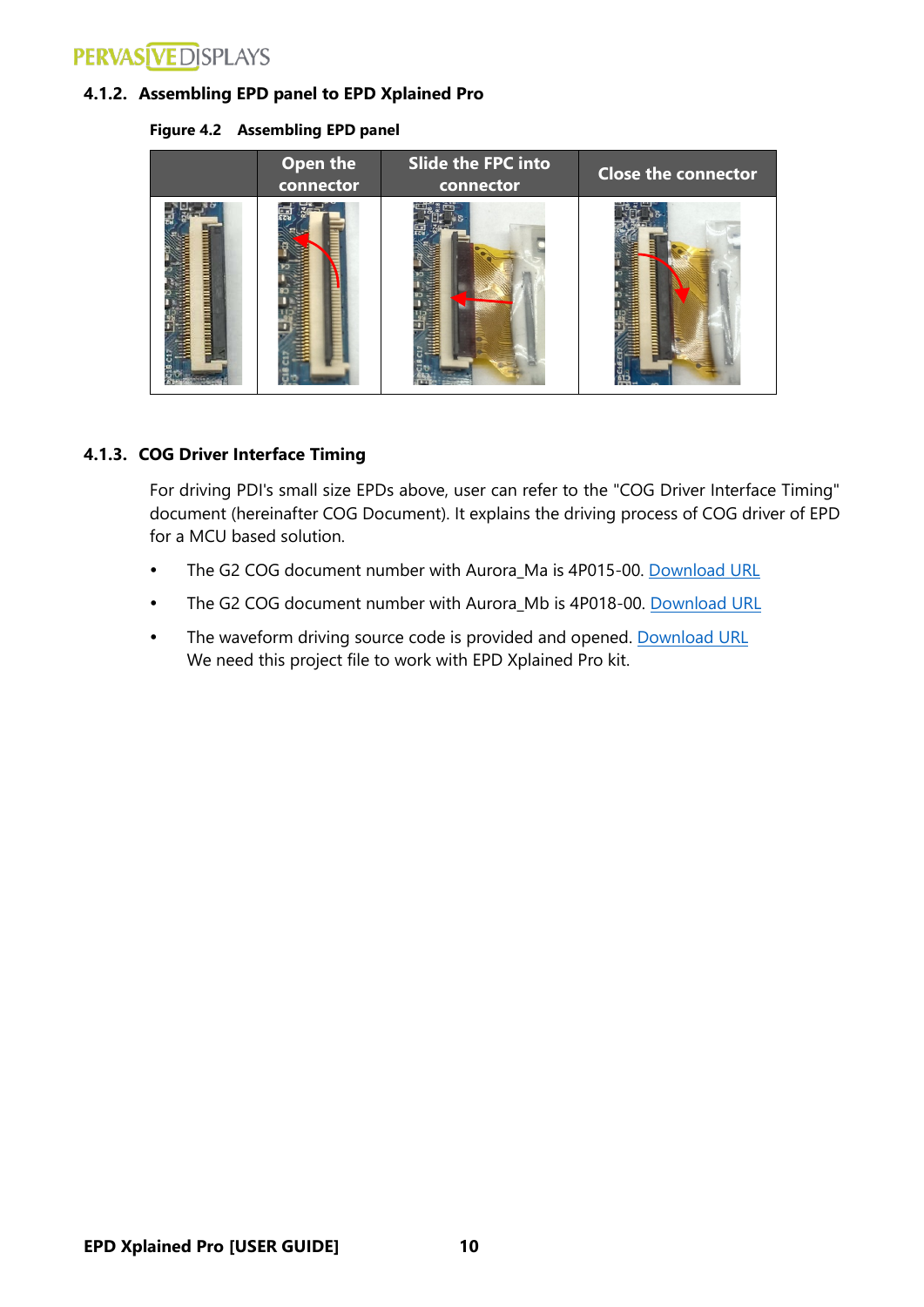# **PERVASIVEDISPLAYS**

### <span id="page-9-0"></span>**4.1.2. Assembling EPD panel to EPD Xplained Pro**

**Figure 4.2 Assembling EPD panel**



### <span id="page-9-1"></span>**4.1.3. COG Driver Interface Timing**

For driving PDI's small size EPDs above, user can refer to the "COG Driver Interface Timing" document (hereinafter COG Document). It explains the driving process of COG driver of EPD for a MCU based solution.

- The G2 COG document number with Aurora\_Ma is 4P015-00. [Download URL](http://www.pervasivedisplays.com/LiteratureRetrieve.aspx?ID=198794)
- The G2 COG document number with Aurora\_Mb is 4P018-00. [Download URL](http://www.pervasivedisplays.com/LiteratureRetrieve.aspx?ID=220873)
- The waveform driving source code is provided and opened. [Download URL](http://www.pervasivedisplays.com/LiteratureRetrieve.aspx?ID=223487) We need this project file to work with EPD Xplained Pro kit.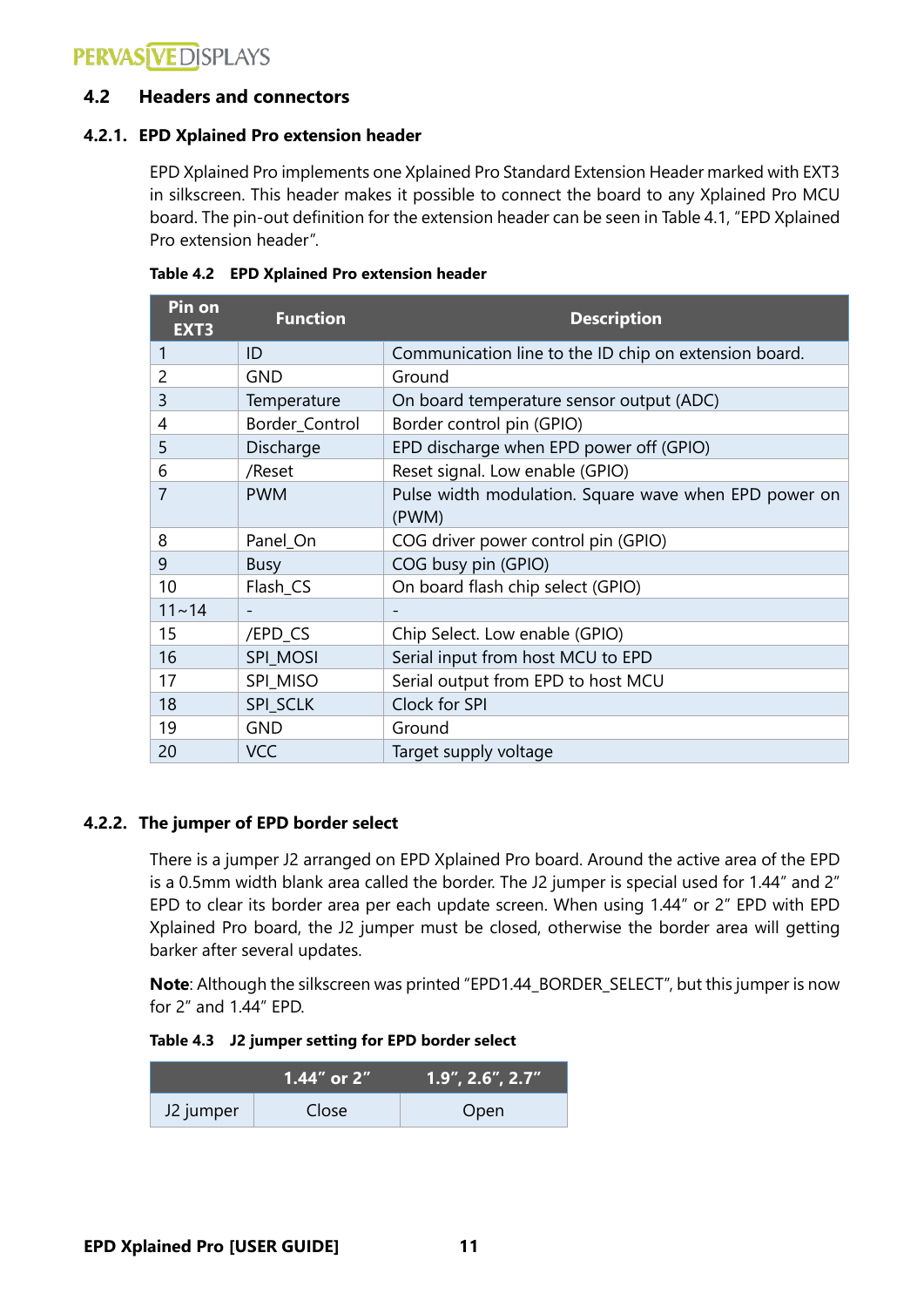# **PERVASÍVE DISPLAYS**

### <span id="page-10-0"></span>**4.2 Headers and connectors**

### <span id="page-10-1"></span>**4.2.1. EPD Xplained Pro extension header**

EPD Xplained Pro implements one Xplained Pro Standard Extension Header marked with EXT3 in silkscreen. This header makes it possible to connect the board to any Xplained Pro MCU board. The pin-out definition for the extension header can be seen in Table 4.1, "EPD Xplained Pro extension header".

| Pin on<br>EXT3 | <b>Function</b> | <b>Description</b>                                             |
|----------------|-----------------|----------------------------------------------------------------|
| 1              | ID              | Communication line to the ID chip on extension board.          |
| 2              | <b>GND</b>      | Ground                                                         |
| 3              | Temperature     | On board temperature sensor output (ADC)                       |
| 4              | Border_Control  | Border control pin (GPIO)                                      |
| 5              | Discharge       | EPD discharge when EPD power off (GPIO)                        |
| 6              | /Reset          | Reset signal. Low enable (GPIO)                                |
| 7              | <b>PWM</b>      | Pulse width modulation. Square wave when EPD power on<br>(PWM) |
| 8              | Panel_On        | COG driver power control pin (GPIO)                            |
| 9              | <b>Busy</b>     | COG busy pin (GPIO)                                            |
| 10             | Flash_CS        | On board flash chip select (GPIO)                              |
| $11 - 14$      |                 |                                                                |
| 15             | /EPD_CS         | Chip Select. Low enable (GPIO)                                 |
| 16             | SPI_MOSI        | Serial input from host MCU to EPD                              |
| 17             | SPI MISO        | Serial output from EPD to host MCU                             |
| 18             | SPI_SCLK        | Clock for SPI                                                  |
| 19             | <b>GND</b>      | Ground                                                         |
| 20             | <b>VCC</b>      | Target supply voltage                                          |

|  | Table 4.2 EPD Xplained Pro extension header |  |  |  |
|--|---------------------------------------------|--|--|--|
|--|---------------------------------------------|--|--|--|

### <span id="page-10-2"></span>**4.2.2. The jumper of EPD border select**

There is a jumper J2 arranged on EPD Xplained Pro board. Around the active area of the EPD is a 0.5mm width blank area called the border. The J2 jumper is special used for 1.44" and 2" EPD to clear its border area per each update screen. When using 1.44" or 2" EPD with EPD Xplained Pro board, the J2 jumper must be closed, otherwise the border area will getting barker after several updates.

**Note**: Although the silkscreen was printed "EPD1.44\_BORDER\_SELECT", but this jumper is now for 2" and 1.44" EPD.

**Table 4.3 J2 jumper setting for EPD border select**

|           | ⊦1.44″ or 2″ | , 1.9″, 2.6″, 2 <u>.7″</u> |
|-----------|--------------|----------------------------|
| J2 jumper | Close        | Open                       |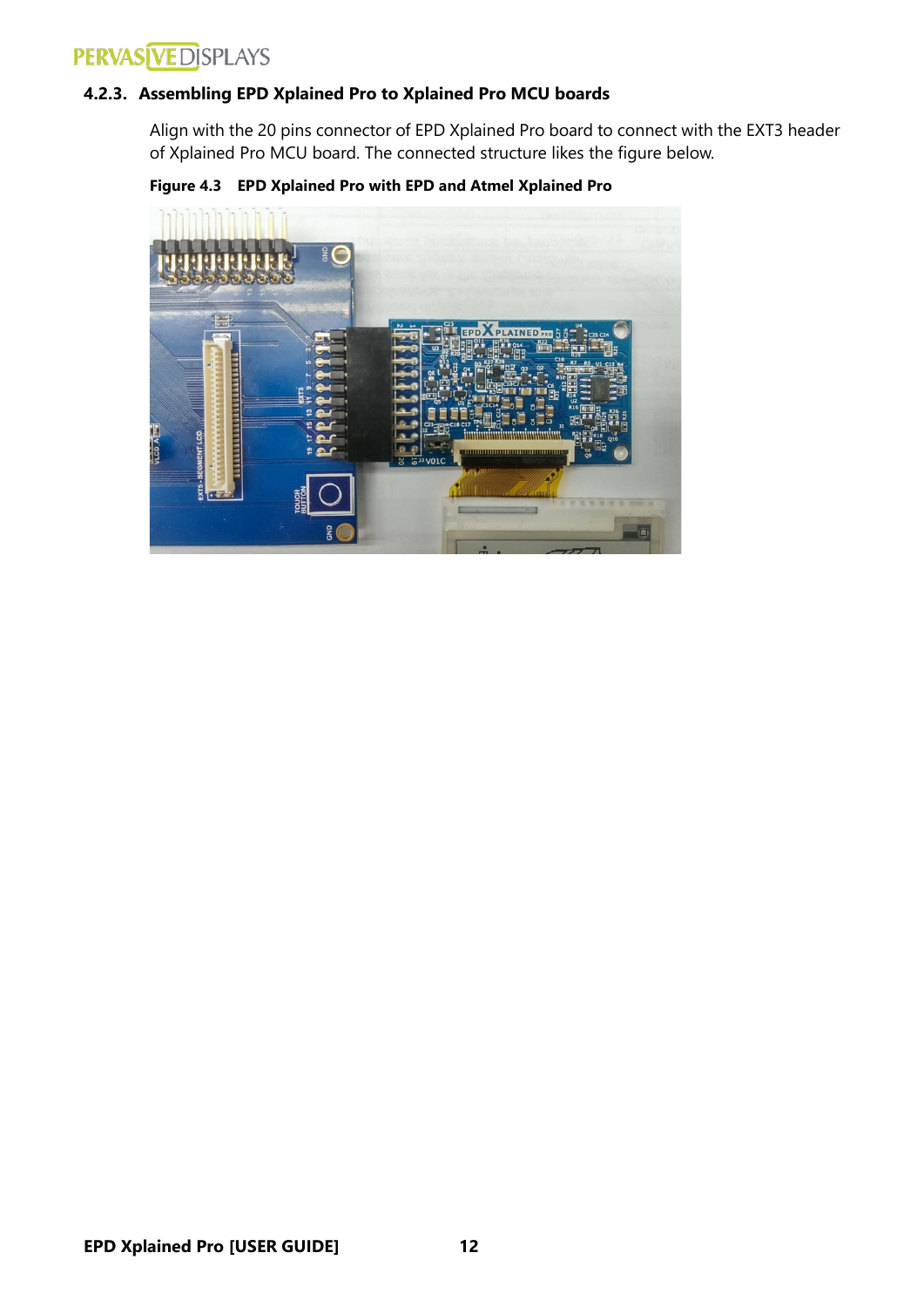# **PERVAS VEDISPLAYS**

### <span id="page-11-0"></span>**4.2.3. Assembling EPD Xplained Pro to Xplained Pro MCU boards**

Align with the 20 pins connector of EPD Xplained Pro board to connect with the EXT3 header of Xplained Pro MCU board. The connected structure likes the figure below.



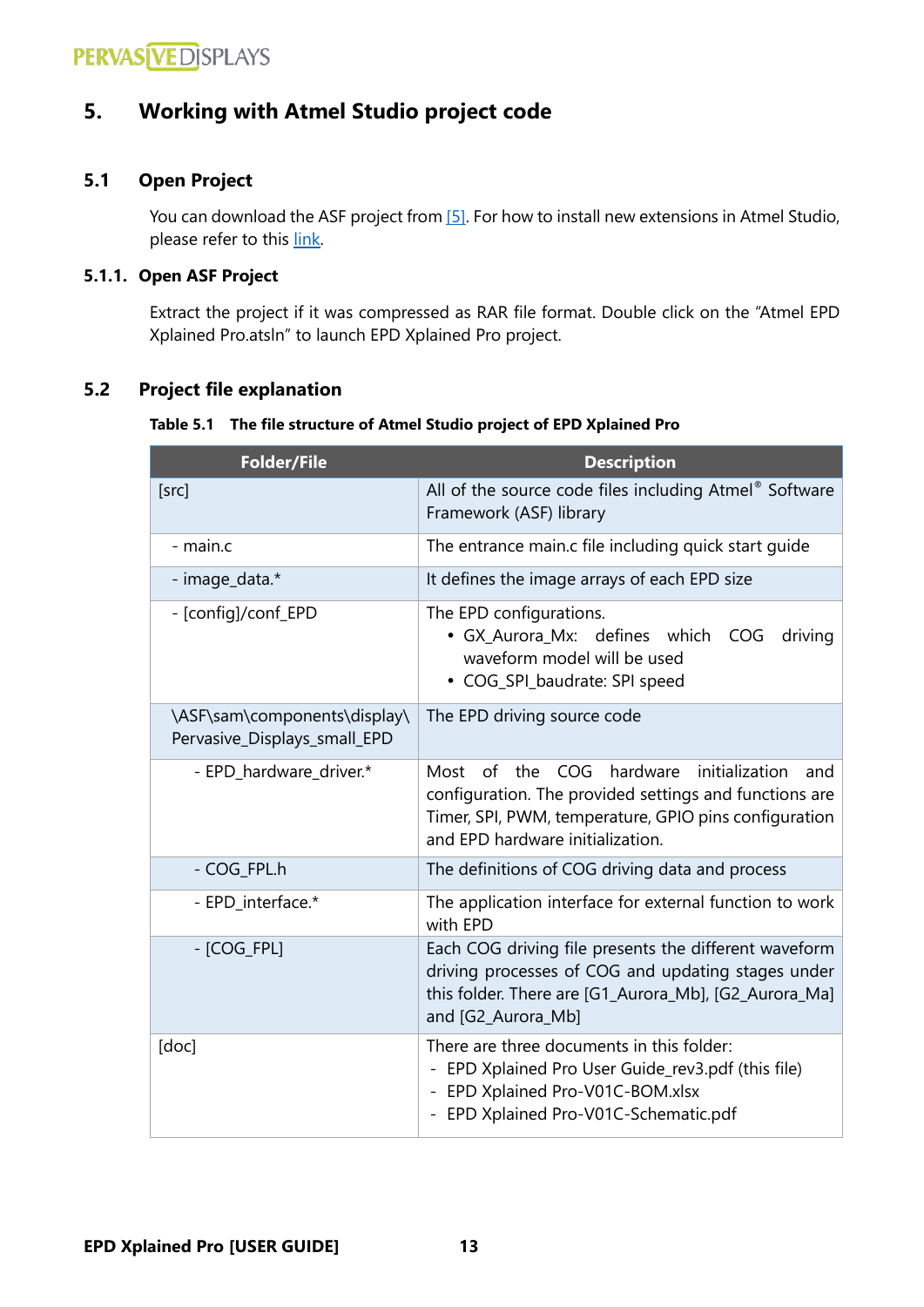### <span id="page-12-0"></span>**5. Working with Atmel Studio project code**

### <span id="page-12-1"></span>**5.1 Open Project**

You can download the ASF project fro[m \[5\].](#page-4-4) For how to install new extensions in Atmel Studio, please refer to this [link.](http://www.atmel.no/webdoc/atmelstudio/atmelstudio.AVRStudio.Extending.Installing.html)

### <span id="page-12-2"></span>**5.1.1. Open ASF Project**

Extract the project if it was compressed as RAR file format. Double click on the "Atmel EPD Xplained Pro.atsln" to launch EPD Xplained Pro project.

### <span id="page-12-3"></span>**5.2 Project file explanation**

#### **Table 5.1 The file structure of Atmel Studio project of EPD Xplained Pro**

| <b>Folder/File</b>                                           | <b>Description</b>                                                                                                                                                                                             |
|--------------------------------------------------------------|----------------------------------------------------------------------------------------------------------------------------------------------------------------------------------------------------------------|
| [src]                                                        | All of the source code files including Atmel® Software<br>Framework (ASF) library                                                                                                                              |
| - main.c                                                     | The entrance main.c file including quick start guide                                                                                                                                                           |
| - image_data.*                                               | It defines the image arrays of each EPD size                                                                                                                                                                   |
| - [config]/conf_EPD                                          | The EPD configurations.<br>· GX_Aurora_Mx: defines which COG<br>driving<br>waveform model will be used<br>• COG_SPI_baudrate: SPI speed                                                                        |
| \ASF\sam\components\display\<br>Pervasive_Displays_small_EPD | The EPD driving source code                                                                                                                                                                                    |
| - EPD_hardware_driver.*                                      | hardware<br>initialization<br>Most of<br>the COG<br>and<br>configuration. The provided settings and functions are<br>Timer, SPI, PWM, temperature, GPIO pins configuration<br>and EPD hardware initialization. |
| - COG_FPL.h                                                  | The definitions of COG driving data and process                                                                                                                                                                |
| - EPD_interface.*                                            | The application interface for external function to work<br>with EPD                                                                                                                                            |
| $-$ [COG_FPL]                                                | Each COG driving file presents the different waveform<br>driving processes of COG and updating stages under<br>this folder. There are [G1_Aurora_Mb], [G2_Aurora_Ma]<br>and [G2_Aurora_Mb]                     |
| [doc]                                                        | There are three documents in this folder:<br>- EPD Xplained Pro User Guide_rev3.pdf (this file)<br>- EPD Xplained Pro-V01C-BOM.xlsx<br>- EPD Xplained Pro-V01C-Schematic.pdf                                   |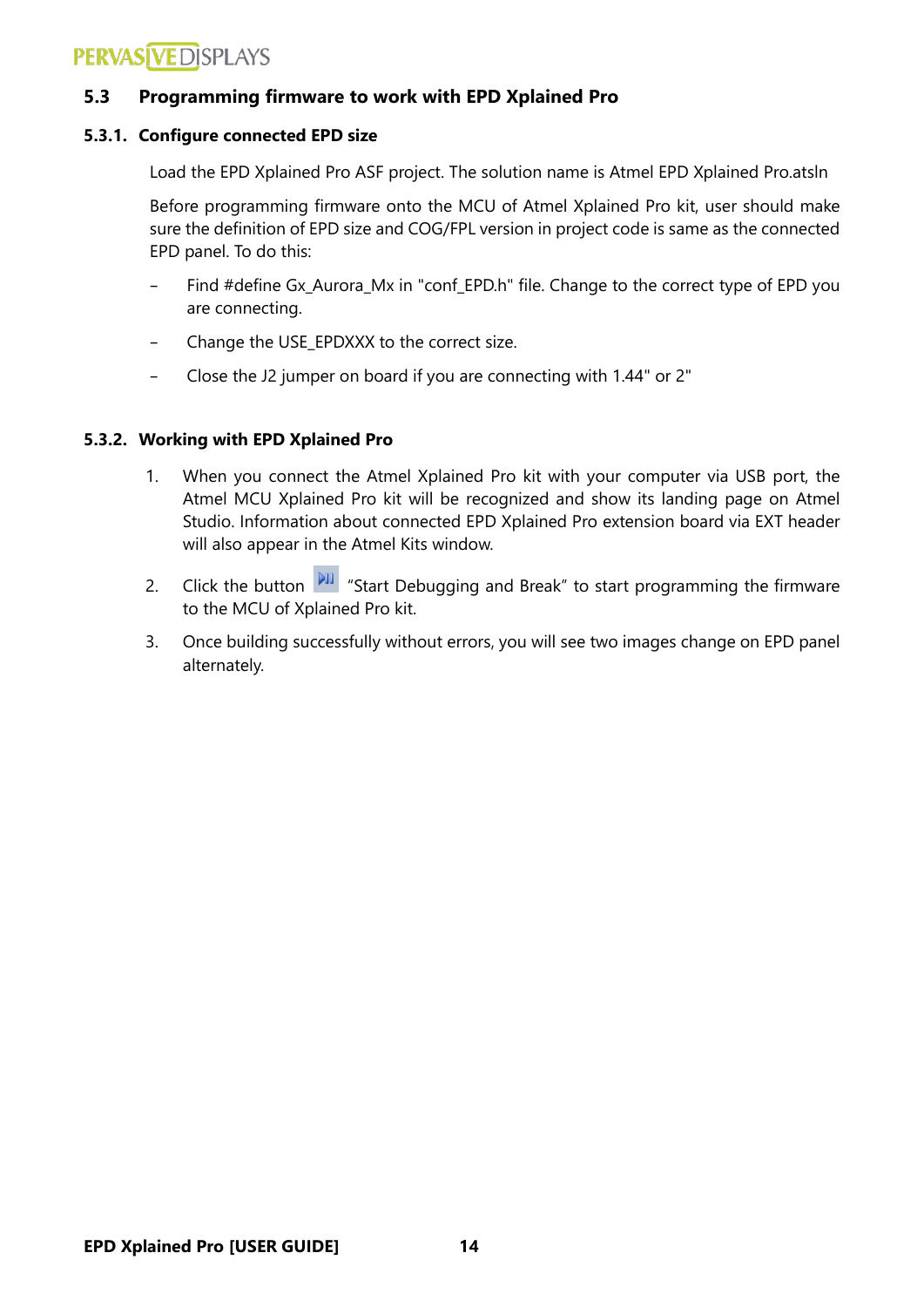# **PERVASÍVE DÍSPLAYS**

### <span id="page-13-0"></span>**5.3 Programming firmware to work with EPD Xplained Pro**

### <span id="page-13-1"></span>**5.3.1. Configure connected EPD size**

Load the EPD Xplained Pro ASF project. The solution name is Atmel EPD Xplained Pro.atsln

Before programming firmware onto the MCU of Atmel Xplained Pro kit, user should make sure the definition of EPD size and COG/FPL version in project code is same as the connected EPD panel. To do this:

- Find #define Gx Aurora Mx in "conf EPD.h" file. Change to the correct type of EPD you are connecting.
- Change the USE\_EPDXXX to the correct size.
- Close the J2 jumper on board if you are connecting with 1.44" or 2"

### <span id="page-13-2"></span>**5.3.2. Working with EPD Xplained Pro**

- 1. When you connect the Atmel Xplained Pro kit with your computer via USB port, the Atmel MCU Xplained Pro kit will be recognized and show its landing page on Atmel Studio. Information about connected EPD Xplained Pro extension board via EXT header will also appear in the Atmel Kits window.
- 2. Click the button  $\frac{|\mathbf{v}_\mathbf{I}|}{|\mathbf{v}_\mathbf{I}|}$  "Start Debugging and Break" to start programming the firmware to the MCU of Xplained Pro kit.
- 3. Once building successfully without errors, you will see two images change on EPD panel alternately.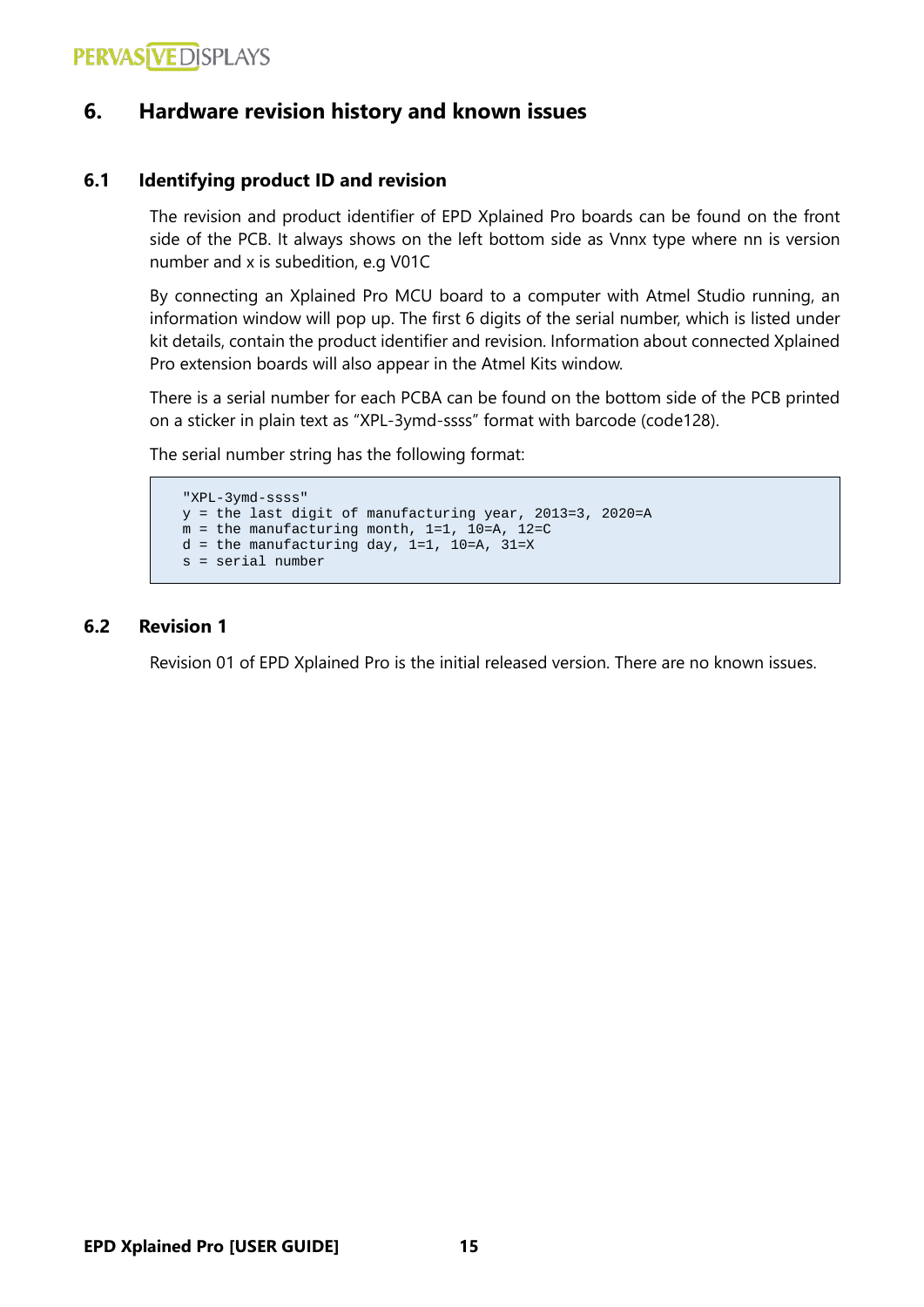### <span id="page-14-0"></span>**6. Hardware revision history and known issues**

### <span id="page-14-1"></span>**6.1 Identifying product ID and revision**

The revision and product identifier of EPD Xplained Pro boards can be found on the front side of the PCB. It always shows on the left bottom side as Vnnx type where nn is version number and x is subedition, e.g V01C

By connecting an Xplained Pro MCU board to a computer with Atmel Studio running, an information window will pop up. The first 6 digits of the serial number, which is listed under kit details, contain the product identifier and revision. Information about connected Xplained Pro extension boards will also appear in the Atmel Kits window.

There is a serial number for each PCBA can be found on the bottom side of the PCB printed on a sticker in plain text as "XPL-3ymd-ssss" format with barcode (code128).

The serial number string has the following format:

```
"XPL-3ymd-ssss"
y = the last digit of manufacturing year, 2013=3, 2020=A
m = the manufacturing month, 1=1, 10=A, 12=C
d = the manufacturing day, 1=1, 10=A, 31=X
s = serial number
```
### <span id="page-14-2"></span>**6.2 Revision 1**

Revision 01 of EPD Xplained Pro is the initial released version. There are no known issues.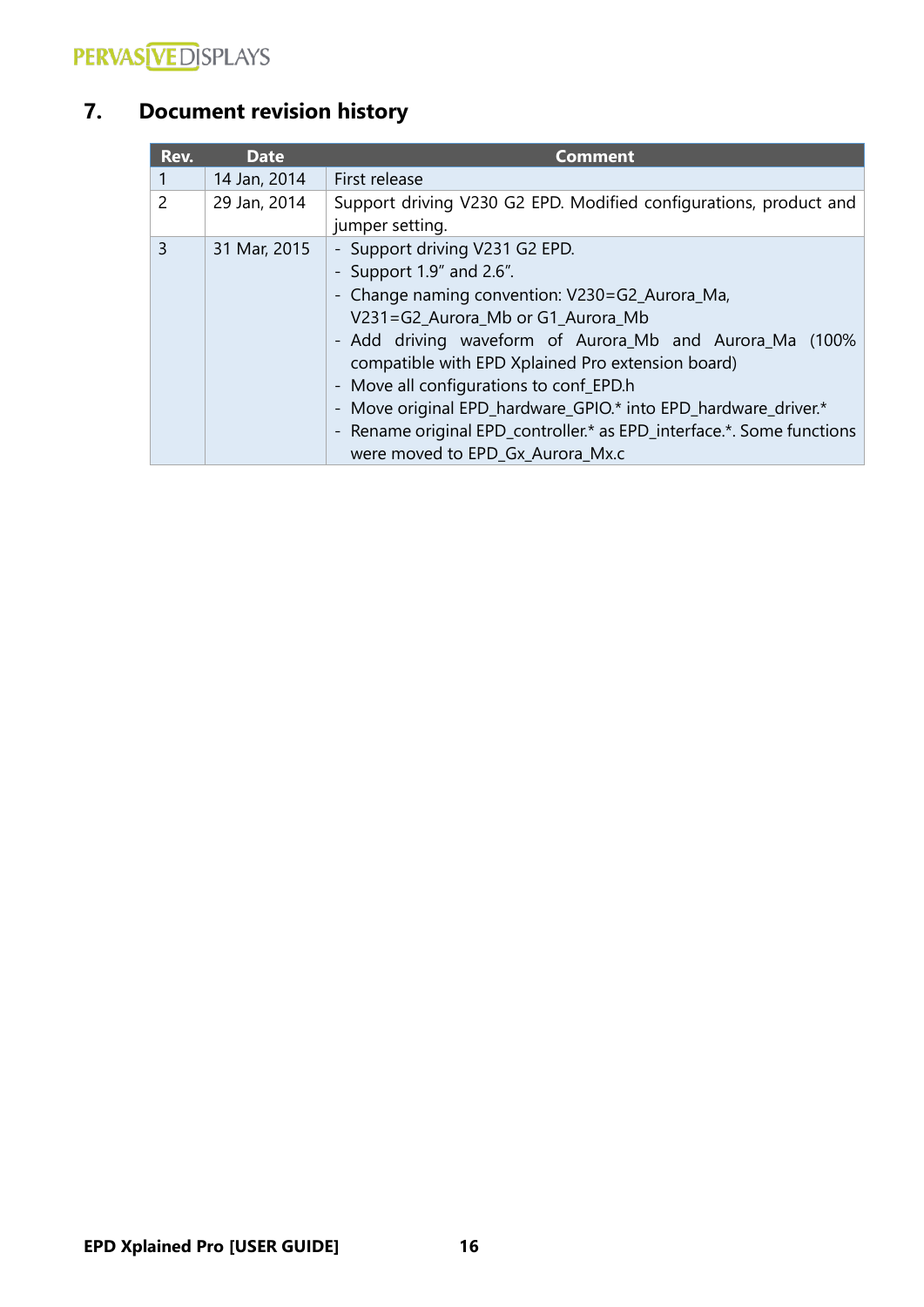

# <span id="page-15-0"></span>**7. Document revision history**

| Rev.           | <b>Date</b>  | <b>Comment</b>                                                                                                                                                                                                                                                                                                                                                                                                                                                                                     |
|----------------|--------------|----------------------------------------------------------------------------------------------------------------------------------------------------------------------------------------------------------------------------------------------------------------------------------------------------------------------------------------------------------------------------------------------------------------------------------------------------------------------------------------------------|
|                | 14 Jan, 2014 | First release                                                                                                                                                                                                                                                                                                                                                                                                                                                                                      |
| $\overline{2}$ | 29 Jan, 2014 | Support driving V230 G2 EPD. Modified configurations, product and<br>jumper setting.                                                                                                                                                                                                                                                                                                                                                                                                               |
| 3              | 31 Mar, 2015 | - Support driving V231 G2 EPD.<br>- Support $1.9''$ and $2.6''$ .<br>- Change naming convention: V230=G2_Aurora_Ma,<br>V231=G2_Aurora_Mb or G1_Aurora_Mb<br>- Add driving waveform of Aurora_Mb and Aurora_Ma (100%<br>compatible with EPD Xplained Pro extension board)<br>- Move all configurations to conf_EPD.h<br>- Move original EPD_hardware_GPIO.* into EPD_hardware_driver.*<br>- Rename original EPD_controller.* as EPD_interface.*. Some functions<br>were moved to EPD_Gx_Aurora_Mx.c |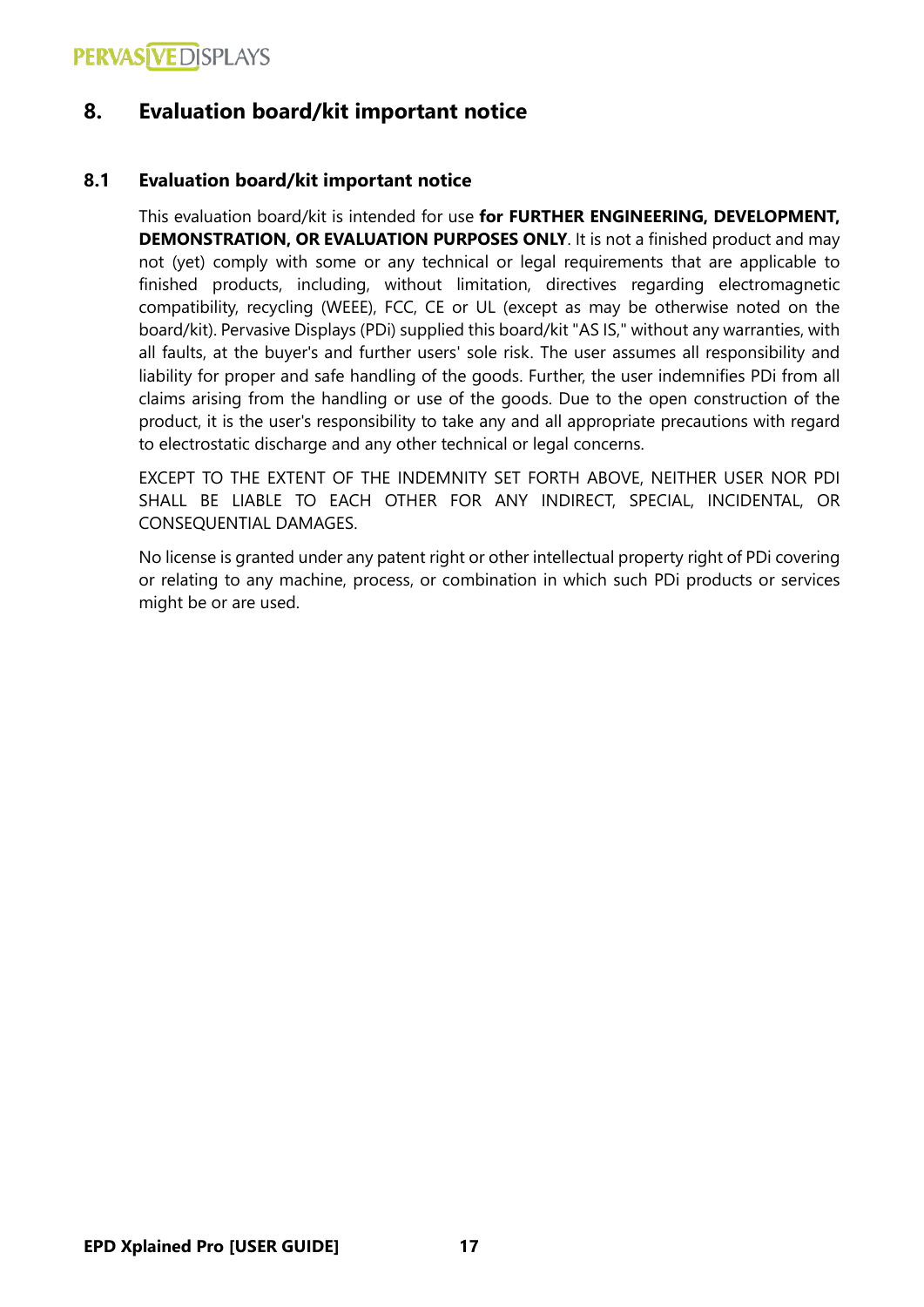### <span id="page-16-0"></span>**8. Evaluation board/kit important notice**

### <span id="page-16-1"></span>**8.1 Evaluation board/kit important notice**

This evaluation board/kit is intended for use **for FURTHER ENGINEERING, DEVELOPMENT, DEMONSTRATION, OR EVALUATION PURPOSES ONLY**. It is not a finished product and may not (yet) comply with some or any technical or legal requirements that are applicable to finished products, including, without limitation, directives regarding electromagnetic compatibility, recycling (WEEE), FCC, CE or UL (except as may be otherwise noted on the board/kit). Pervasive Displays (PDi) supplied this board/kit "AS IS," without any warranties, with all faults, at the buyer's and further users' sole risk. The user assumes all responsibility and liability for proper and safe handling of the goods. Further, the user indemnifies PDi from all claims arising from the handling or use of the goods. Due to the open construction of the product, it is the user's responsibility to take any and all appropriate precautions with regard to electrostatic discharge and any other technical or legal concerns.

EXCEPT TO THE EXTENT OF THE INDEMNITY SET FORTH ABOVE, NEITHER USER NOR PDI SHALL BE LIABLE TO EACH OTHER FOR ANY INDIRECT, SPECIAL, INCIDENTAL, OR CONSEQUENTIAL DAMAGES.

No license is granted under any patent right or other intellectual property right of PDi covering or relating to any machine, process, or combination in which such PDi products or services might be or are used.